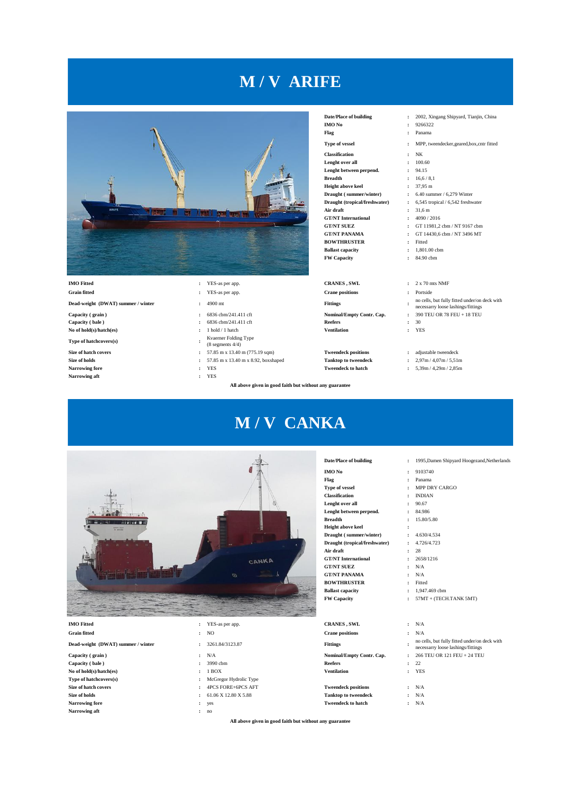## **M / V ARIFE**



**Grain fitted :** YES-as per app. **Crane positions :** Portside **Dead-weight (DWAT) summer / winter :** 4900 mt **Fittings :**

**Capacity ( bale ) :** 6836 cbm/241.411 cft **Reefers :** 30

**Type of hatchcovers(s) :**

**Narrowing aft :** YES

- 
- 
- 
- 
- 
- Kvaerner Folding Type
- 
- Evaerner Potum<sub>e</sub><br>(8 segments 4/4)<br>(2.40) **Size of hatch covers :** 57.85 m x 13.40 m (775.19 sqm) **Tweendeck positions :** adjustable tweendeck
- **Size of holds :** 57.85 m x 13.40 m x 8.92, boxshaped **Tanktop to tweendeck :** 2,97m / 4,07m / 5,51m
	-
	-

**All above given in good faith but without any guarantee**

**M / V CANKA**

**IMO No :** 9266322<br> **Flag :** Panama **Classification :** NK<br> **Lenght over all :** 100.60 **Lenght over all :** 100.60 Lenght between perpend. **Breadth :** 16,6/8,1 **Height above keel <br><b>Draught (summer/winter)** <br>**:** 6.40 sum **Draught ( summer/winter) <br><b>1** 6.40 summer / 6,279 Winter<br>**Draught (tropical/freshwater)** <br>**2** 6,545 tropical / 6,542 freshwater

**Air draft :** 31,6 m<br>**GT/NT International :** 4090/2016 **GT/NT International<br><b>GT/NT SUEZ** 

**BOWTHRUSTER :** Fitted<br>**Ballast capacity :** 1,801.00 cbm **Ballast capacity** 

**FW Capacity :** 84.90 cbm

**No of hold(s)/hatch(es) :** 1 hold / 1 hatch **Ventilation :** YES

- 
- **Narrowing fore :** YES **Tweendeck to hatch :** 5,39m / 4,29m / 2,85m
	-



**Narrowing aft :** no

|                                    | CANKA<br>Ø                              | Date/Place of building<br><b>IMO</b> No<br>Flag<br><b>Type of vessel</b><br><b>Classification</b><br>Lenght over all<br>Lenght between perpend.<br><b>Breadth</b><br><b>Height above keel</b><br>Draught (summer/winter)<br>Draught (tropical/freshwater)<br>Air draft<br><b>GT/NT</b> International<br><b>GT/NT SUEZ</b><br><b>GT/NT PANAMA</b><br><b>BOWTHRUSTER</b><br><b>Ballast capacity</b><br><b>FW Capacity</b> | 1995, Damen Shipyard Hoogezand, Netherlands<br>$\ddot{\phantom{a}}$<br>9103740<br>$\ddot{\phantom{a}}$<br>Panama<br>MPP DRY CARGO<br>÷<br><b>INDIAN</b><br>٠<br>90.67<br>÷<br>84.986<br>15.80/5.80<br>4.630/4.534<br>÷<br>4.726/4.723<br>28<br>$\ddot{\phantom{a}}$<br>2658/1216<br>÷<br>N/A<br>N/A<br>$\cdot$<br>Fitted<br>÷<br>1.947.469 cbm<br>÷<br>57MT + (TECH.TANK 5MT)<br>$\cdot$ |
|------------------------------------|-----------------------------------------|-------------------------------------------------------------------------------------------------------------------------------------------------------------------------------------------------------------------------------------------------------------------------------------------------------------------------------------------------------------------------------------------------------------------------|------------------------------------------------------------------------------------------------------------------------------------------------------------------------------------------------------------------------------------------------------------------------------------------------------------------------------------------------------------------------------------------|
| <b>IMO</b> Fitted                  | YES-as per app.                         | <b>CRANES, SWL</b>                                                                                                                                                                                                                                                                                                                                                                                                      | N/A<br>$\ddot{\phantom{a}}$                                                                                                                                                                                                                                                                                                                                                              |
| <b>Grain fitted</b>                | <b>NO</b><br>$\ddot{\phantom{a}}$       | <b>Crane positions</b>                                                                                                                                                                                                                                                                                                                                                                                                  | N/A<br>$\ddot{\phantom{a}}$                                                                                                                                                                                                                                                                                                                                                              |
| Dead-weight (DWAT) summer / winter | 3261.84/3123.87<br>$\ddot{\phantom{a}}$ | <b>Fittings</b>                                                                                                                                                                                                                                                                                                                                                                                                         | no cells, but fully fitted under/on deck with<br>necessarry loose lashings/fittings                                                                                                                                                                                                                                                                                                      |
| Capacity (grain)                   | N/A<br>$\cdot$                          | Nominal/Empty Contr. Cap.                                                                                                                                                                                                                                                                                                                                                                                               | 266 TEU OR 121 FEU + 24 TEU<br>$\bullet$                                                                                                                                                                                                                                                                                                                                                 |
| Capacity (bale)                    | 3990 cbm                                | <b>Reefers</b>                                                                                                                                                                                                                                                                                                                                                                                                          | 22<br>÷                                                                                                                                                                                                                                                                                                                                                                                  |
| No of hold(s)/hatch(es)            | 1 BOX                                   | <b>Ventilation</b>                                                                                                                                                                                                                                                                                                                                                                                                      | <b>YES</b><br>$\cdot$                                                                                                                                                                                                                                                                                                                                                                    |
| Type of hatchcovers(s)             | McGregor Hydrolic Type                  |                                                                                                                                                                                                                                                                                                                                                                                                                         |                                                                                                                                                                                                                                                                                                                                                                                          |
| Size of hatch covers               | 4PCS FORE+6PCS AFT                      | <b>Tweendeck positions</b>                                                                                                                                                                                                                                                                                                                                                                                              | N/A<br>$\cdot$                                                                                                                                                                                                                                                                                                                                                                           |
| Size of holds                      | 61.06 X 12.80 X 5.88                    | <b>Tanktop to tweendeck</b>                                                                                                                                                                                                                                                                                                                                                                                             | N/A<br>÷                                                                                                                                                                                                                                                                                                                                                                                 |
| <b>Narrowing fore</b>              | yes<br>$\ddot{\phantom{a}}$             | <b>Tweendeck to hatch</b>                                                                                                                                                                                                                                                                                                                                                                                               | N/A<br>÷                                                                                                                                                                                                                                                                                                                                                                                 |

**All above given in good faith but without any guarantee**

**Date/Place of building :** 2002, Xingang Shipyard, Tianjin, China

- 
- **:** Panama
- **Type of vessel :** MPP, tweendecker,geared,box,cntr fitted
	-
	-
	-
	-
	-
	-
	- **Draught (tropical/freshwater) :** 6,545 tropical / 6,542 freshwater
	-
	-
- **GT/NT SUEZ :** GT 11981,2 cbm / NT 9167 cbm <br>**GT/NT PANAMA :** GT 14430,6 cbm / NT 3496 MT
	- **COMPANAMA + GT 14430,6 cbm / NT 3496 MT<br>
	<b>:** Fitted
	-
	-
	-

- 
- no cells, but fully fitted under/on deck with necessarry loose lashings/fittings
- **Capacity ( grain ) :** 6836 cbm/241.411 cft **Nominal/Empty Contr. Cap. :** 390 TEU OR 78 FEU + 18 TEU
	-
	-

- 
-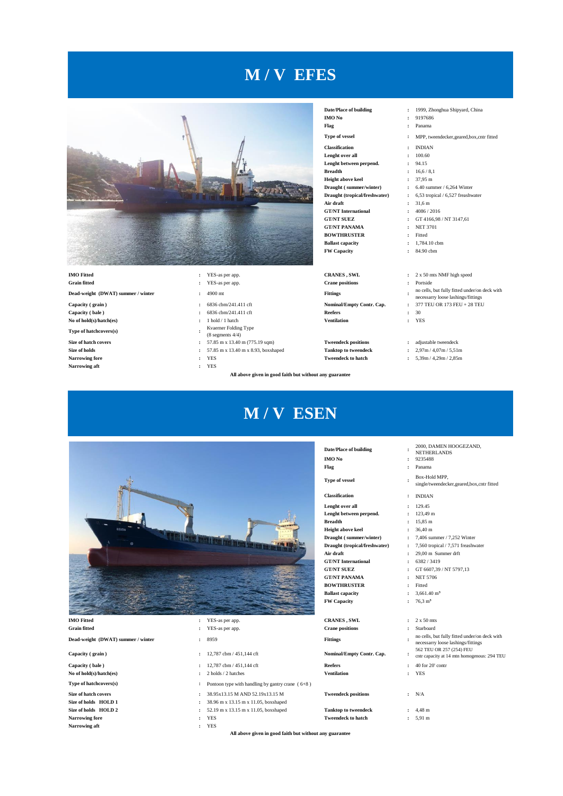## **M / V EFES**



**Capacity ( bale )** : 6836 cbm/241.411 cft **Reefers** : 30<br> **No of hold(s)/hatch(es)** : 1 hold / 1 hatch **Ventilation** : YES **No of hold(s)/hatch(es) i**  $1$  hold / 1 hatch **Ventilation Ventilation** 

**Type of hatchcovers(s) :**

 $Narrowing$  aft

- 
- 
- 
- 
- 
- Kvaerner Folding Type
- $(8$  segments  $4/4)$
- 
- 
- 
- 

**All above given in good faith but without any guarantee**

**M / V ESEN**

## **Date/Place of building :** 1999, Zhonghua Shipyard, China

**Flag :** Panama **Classification :** INDIAN **Lenght over all :** 100.60 **Lenght between perpend. :** 94.15 **Breadth :** 16,6 / 8,1 **Height above keel :** 37,95 m **Draught ( summer/winter) :** 6.40 summer / 6,264 Winter **Draught (tropical/freshwater) :** 6,53 tropical / 6,527 freashwater **Air draft :** 31,6 m **GT/NT International :** 4086 / 2016 **GT/NT SUEZ :** GT 4166,98 / NT 3147,61 **GT/NT PANAMA :** NET 3701 **BOWTHRUSTER :** Fitted<br> **Ballast canacity :** 1.784.10 cbm **Ballast capacity FW Capacity :** 84.90 cbm

**Dead-weight (DWAT) summer / winter :** 4900 mt **Fittings :**

**Capacity ( grain )** :  $6836 \text{ chm}/241.411 \text{ cf}$  **Nominal/Empty Contr. Cap. 28 TEU 173 FEU + 28 TEU + 28 TEU + 28 TEU + 28 TEU + 28 TEU + 28 TEU + 28 TEU + 28 TEU + 28 TEU + 28 TEU + 28 TEU + 28 TEU + 28 TEU + 28 TEU + 28** 

**Size of hatch covers :** 57.85 m x 13.40 m (775.19 sqm) **Tweendeck positions :** adjustable tweendeck **Size of holds :** 57.85 m x 13.40 m x 8.93, boxshaped **Tanktop to tweendeck :** 2,97m/4,07m/5,51m **Size of holds c i** 57.85 m x 13.40 m x 8.93, boxshaped **Tanktop to tweendeck Narrowing fore i**  $\gamma$ **ES z Narrowing fore :** YES **Tweendeck to hatch :** 5,39m / 4,29m / 2,85m

- 
- **IMO No :** 9197686
- 
- **Type of vessel <b>:** MPP tweendecker geared box,cntr fitted
	-
	-
	-
	-
	-
	-
	-
	-
	-
	-
	-
	-
	-
- **IMO Fitted :** YES-as per app. **CRANES , SWL :** 2 x 50 mts NMF high speed
- **Grain fitted :** YES-as per app. **Crane positions :** Portside
	- no cells, but fully fitted under/on deck with
	- the control of the control of the control of the control of the same state of the same state of the same state of the same state of the same state of the same state of the same state of the same state of the same state of
	-
	-

- 
- 

2000, DAMEN HOOGEZAND, NETHERLANDS

single/tweendecker,geared,box,cntr fitted

no cells, but fully fitted under/on deck with necessarry loose lashings/fittings

562 TEU OR 257 (254) FEU  $\frac{502 \text{ TeU OR } 201 \text{ (204) FEC}}{\text{cntr capacity at 14 mtn homogeneous: } 294 \text{ TEU}}$ 



**Dead-weight (DWAT) summer / winter :** 8959 **Fittings :**

**Capacity ( bale ) :** 12,787 cbm / 451,144 cft **Reefers :** 40 for 20' contr

- 
- 
- **Narrowing aft :** YES

## **IMO Fitted :** YES-as per app. **CRANES , SWL** : 2 x 50 mts

- 
- 
- **Capacity ( grain )** : 12,787 cbm / 451,144 cft **Nominal/Empty Contr. Cap. Nominal/Empty Contr. Cap.** 
	-
- **No of hold(s)/hatch(es) :** 2 holds / 2 hatches **Ventilation :** YES
- **Type of hatchcovers(s) <b>:** Pontoon type with handling by gantry crane ( 6+8 )
- **Size of hatch covers :** 38.95x13.15 M AND 52.19x13.15 M **Tweendeck positions :** N/A
- **Size of holds HOLD 1 :** 38.96 m x 13.15 m x 11.05, boxshaped
- **Size of holds HOLD 2 :** 52.19 m x 13.15 m x 11.05, boxshaped **Tanktop to tweendeck :** 4,48 m
	-

**All above given in good faith but without any guarantee**

- **Date/Place of building : IMO No :** 9235488
- **Flag :** Panama

**Type of vessel :**

## **Classification :** INDIAN

- **Lenght over all :** 129.45 **Lenght between perpend. :** 123,49 m
- **Breadth :** 15,85 m

**Height above keel :** 36,40 m

- **Draught ( summer/winter) :** 7,406 summer / 7,252 Winter
- 
- **GT/NT SUEZ :** GT 6607,39 / NT 5797,13
- **GT/NT PANAMA :** NET 5706 **BOWTHRUSTER :** Fitted
- **Ballast capacity :** 3,661.40 m<sup>3</sup>
- 

**Grain fitted :** YES-as per app. **Crane positions :** Starboard

**Narrowing fore :** YES **Tweendeck to hatch :** 5,91 m

- **Draught (tropical/freshwater) :** 7,560 tropical / 7,571 freashwater **Air draft :** 29,00 m Summer drft **GT/NT International :** 6382 / 3419
	-
	-
	-

Box-Hold MPP,

- 
- **FW Capacity :** 76,3 m³
	-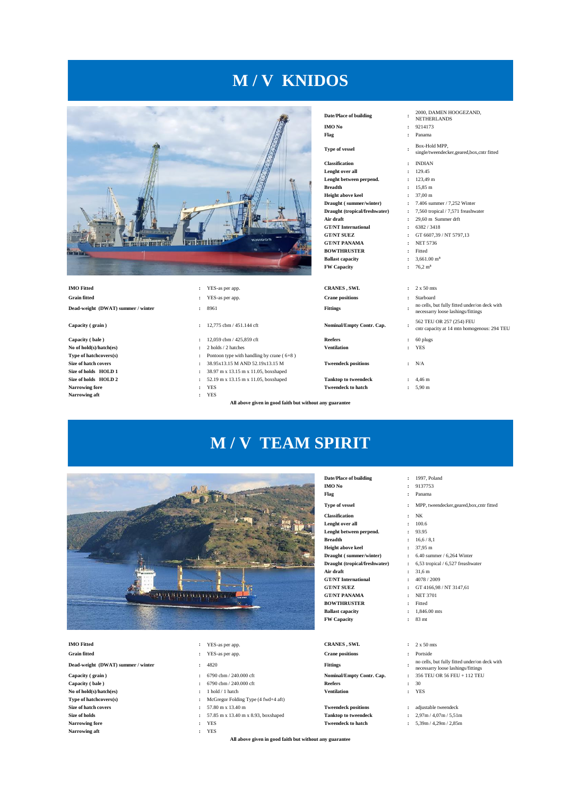# **M / V KNIDOS**



**Dead-weight (DWAT) summer / winter :** 8961 **Fittings :**

**Capacity ( bale )** : 12,059 cbm / 425,859 cft **Reefers** : 60 plugs<br> **No of hold(s)/hatch(es)** : 2 holds / 2 hatches **Ventilation** : YES **No of hold(s)/hatch(es) Type of hatchcovers(s) Size of holds HOLD 1 :**  $38.97 \text{ m} \times 13.15 \text{ m} \times 11.05$ , boxshaped **Size of holds HOLD 2 :**  $52.19 \text{ m} \times 13.15 \text{ m} \times 11.05$ , boxshaped **Size of holds HOLD 2 :** 52.19 m x 13.15 m x 11.05, boxshaped **Tanktop to tweendeck :** 4,46 m <br>Narrowing fore **:** 5,90 m **Narrowing aft :** YES

- 
- 
- 
- 
- **Type of the handling by crane (**  $6+8$  **)**
- **Size of hatch covers :** 38.95x13.15 M AND 52.19x13.15 M **Tweendeck positions :** N/A
	-
	-
	-

**All above given in good faith but without any guarantee**

## **Date/Place of building : IMO No :** 9214173

**Type of vessel : Classification :** INDIAN **Lenght over all :** 129.45 **Lenght between perpend. :** 123,49 m **Breadth :** 15,85 m **Height above keel :** 37,00 m **Draught ( summer/winter) :** 7.406 summer / 7,252 Winter **Draught (tropical/freshwater) :** 7,560 tropical / 7,571 freashwater **Air draft :** 29,60 m Summer drft **GT/NT International :** 6382 / 3418<br>**GT/NT SUEZ :** GT 6607.39 **GT/NT PANAMA BOWTHRUSTER :** Fitted<br>**Ballast capacity :** 3.661.00 m<sup>3</sup> **Ballast capacity FW Capacity :** 76,2 m³

**IMO Fitted :** YES-as per app. **CRANES , SWL** : 2 x 50 mts **Grain fitted :** YES-as per app. **Crane positions :** Starboard

**Capacity ( grain )**  $\qquad$  :  $12,775$  cbm / 451.144 cft **Nominal/Empty Contr. Cap.** 

**GT/NT International<br><b>GT/NT SUEZ** 

**GT/NT PANAMA** 

**Tweendeck to hatch** 

- 2000, DAMEN HOOGEZAND,
- NETHERLANDS
- **Flag :** Panama
	-
	- Box-Hold MPP, single/tweendecker,geared,box,cntr fitted
	-
	-
	-
	-
	-
	-
	-
	-
	-
	- **GT/NT SUEZ :** GT 6607,39 / NT 5797,13
	-
	-
	-
	-
	-
	- no cells, but fully fitted under/on deck with
	- necessarry loose lashings/fittings
	- 562 TEU OR 257 (254) FEU
		- cntr capacity at 14 mtn homogenous: 294 TEU
	-
	-
	-
	-





**Dead-weight (DWAT) summer / winter :** 4820 **Fittings :**

- **Capacity ( grain ) :** 6790 cbm / 240.000 cft **Nominal/Empty Contr. Cap. :** 356 TEU OR 56 FEU + 112 TEU **Capacity ( bale ) :** 6790 cbm / 240.000 cft **Reefers :** 30 **No of hold(s)/hatch(es) :** 1 hold / 1 hatch **Ventilation :** YES **Narrowing fore :** YES **Tweendeck to hatch :** 5,39m / 4,29m / 2,85m **Narrowing aft :** YES
- **IMO Fitted :** YES-as per app. **CRANES , SWL** : 2 x 50 mts
- **Grain fitted :** YES-as per app. **Crane positions :** Portside
	-
	-
	-
	-
- **Type of hatchcovers(s) :** McGregor Folding Type (4 fwd+4 aft)
- **Size of hatch covers :** 57.80 m x 13.40 m **Tweendeck positions :** adjustable tweendeck
- **Size of holds :** 57.85 m x 13.40 m x 8.93, boxshaped **Tanktop to tweendeck :** 2,97m / 4,07m / 5,51m
	-
	-

**All above given in good faith but without any guarantee**

- **Date/Place of building**  $\qquad \qquad$  **:** 1997, Poland **IMO No**  $\qquad \qquad$  **:** 9137753 **:** 9137753 **Flag :** Panama
	-
- **Type of vessel :** MPP, tweendecker,geared,box,cntr fitted
- **Classification :** NK
- **Lenght over all :** 100.6
- **Lenght between perpend. :** 93.95 **Breadth :** 16,6 / 8,1
- **Height above keel :** 37,95 m
	-
- **Draught ( summer/winter) <br><b>1** 6.40 summer / 6,264 Winter<br>**Draught (tropical/freshwater)** <br>**2** 6,53 tropical / 6,527 freashwater **:** 6,53 tropical / 6,527 freashwater
	-
- **Air draft :** 31,6 m<br>**GT/NT International :**  $4078/2009$ 
	- **COLOGY EXECUTE:** GT 4166,98 / NT 3147,61<br>**:** NET 3701
		-
- **BOWTHRUSTER :** Fitted **Ballast capacity :** 1,846.00 mts
- **FW Capacity :** 83 mt
	-
	-
	- no cells, but fully fitted under/on deck with
	- necessarry loose lashings/fittings
	-
	-
	-
	-
	-
	-
	- - -
		-